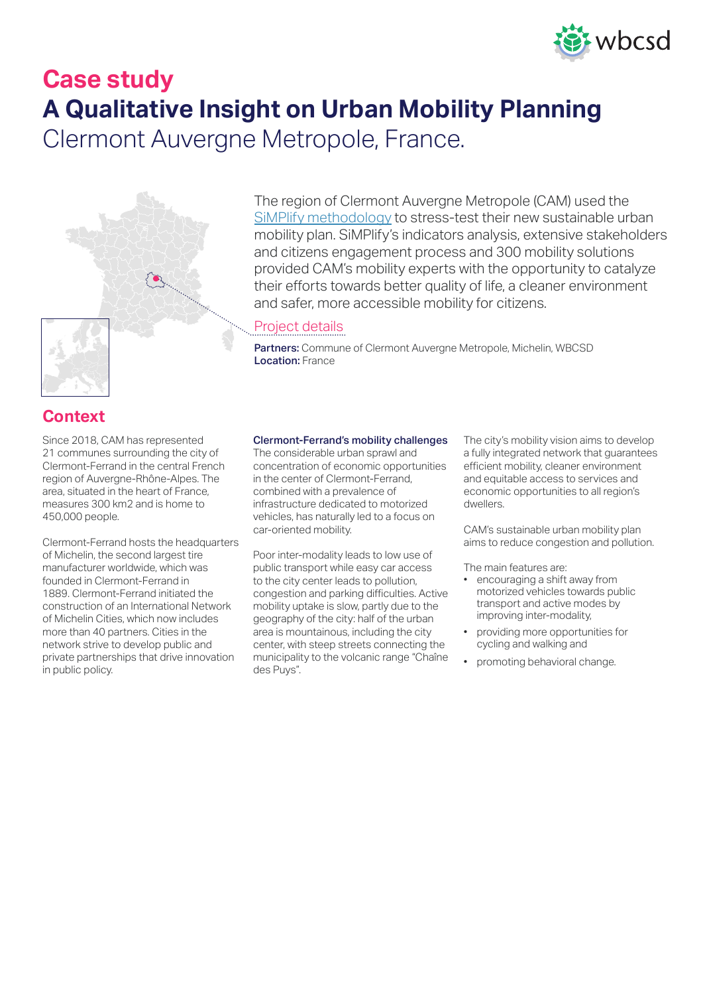

# **Case study A Qualitative Insight on Urban Mobility Planning** Clermont Auvergne Metropole, France.



### The region of Clermont Auvergne Metropole (CAM) used the [SiMPlify methodology](https://www.wbcsd.org/Programs/Cities-and-Mobility/Transforming-Mobility/SiMPlify/Resources/SiMPlify-overview) to stress-test their new sustainable urban mobility plan. SiMPlify's indicators analysis, extensive stakeholders and citizens engagement process and 300 mobility solutions provided CAM's mobility experts with the opportunity to catalyze their efforts towards better quality of life, a cleaner environment and safer, more accessible mobility for citizens.

### Project details

Partners: Commune of Clermont Auvergne Metropole, Michelin, WBCSD Location: France

### **Context**

Since 2018, CAM has represented 21 communes surrounding the city of Clermont-Ferrand in the central French region of Auvergne-Rhône-Alpes. The area, situated in the heart of France, measures 300 km2 and is home to 450,000 people.

Clermont-Ferrand hosts the headquarters of Michelin, the second largest tire manufacturer worldwide, which was founded in Clermont-Ferrand in 1889. Clermont-Ferrand initiated the construction of an International Network of Michelin Cities, which now includes more than 40 partners. Cities in the network strive to develop public and private partnerships that drive innovation in public policy.

#### Clermont-Ferrand's mobility challenges

The considerable urban sprawl and concentration of economic opportunities in the center of Clermont-Ferrand, combined with a prevalence of infrastructure dedicated to motorized vehicles, has naturally led to a focus on car-oriented mobility.

Poor inter-modality leads to low use of public transport while easy car access to the city center leads to pollution, congestion and parking difficulties. Active mobility uptake is slow, partly due to the geography of the city: half of the urban area is mountainous, including the city center, with steep streets connecting the municipality to the volcanic range "Chaîne des Puys".

The city's mobility vision aims to develop a fully integrated network that guarantees efficient mobility, cleaner environment and equitable access to services and economic opportunities to all region's dwellers.

CAM's sustainable urban mobility plan aims to reduce congestion and pollution.

The main features are:

- encouraging a shift away from motorized vehicles towards public transport and active modes by improving inter-modality,
- providing more opportunities for cycling and walking and
- promoting behavioral change.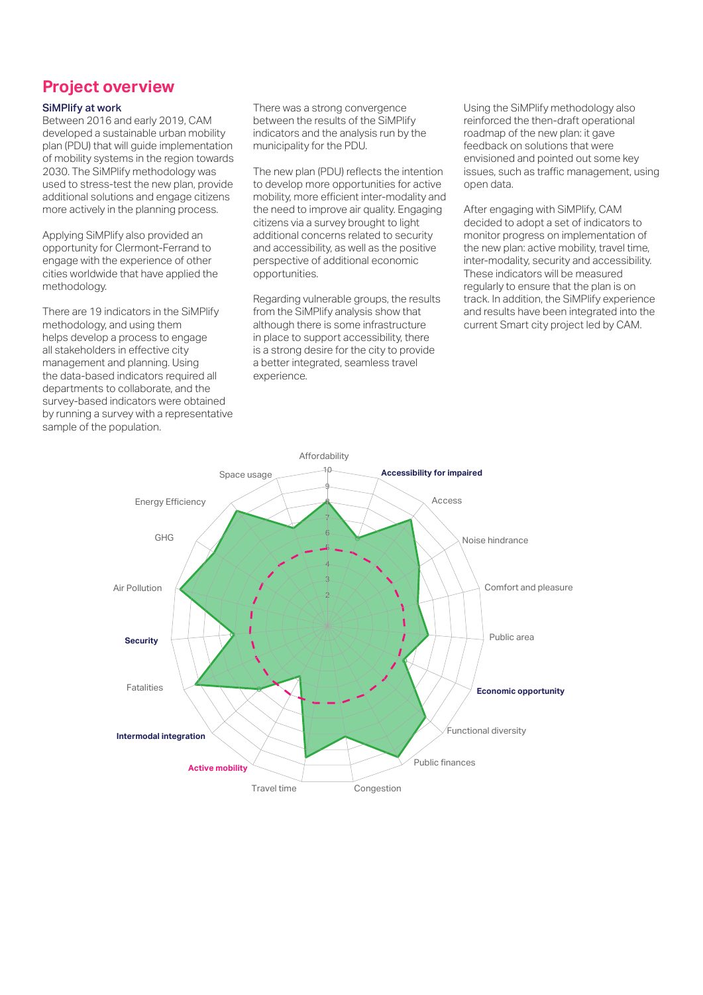## **Project overview**

#### SiMPlify at work

Between 2016 and early 2019, CAM developed a sustainable urban mobility plan (PDU) that will guide implementation of mobility systems in the region towards 2030. The SiMPlify methodology was used to stress-test the new plan, provide additional solutions and engage citizens more actively in the planning process.

Applying SiMPlify also provided an opportunity for Clermont-Ferrand to engage with the experience of other cities worldwide that have applied the methodology.

There are 19 indicators in the SiMPlify methodology, and using them helps develop a process to engage all stakeholders in effective city management and planning. Using the data-based indicators required all departments to collaborate, and the survey-based indicators were obtained by running a survey with a representative sample of the population.

There was a strong convergence between the results of the SiMPlify indicators and the analysis run by the municipality for the PDU.

The new plan (PDU) reflects the intention to develop more opportunities for active mobility, more efficient inter-modality and the need to improve air quality. Engaging citizens via a survey brought to light additional concerns related to security and accessibility, as well as the positive perspective of additional economic opportunities.

Regarding vulnerable groups, the results from the SiMPlify analysis show that although there is some infrastructure in place to support accessibility, there is a strong desire for the city to provide a better integrated, seamless travel experience.

Using the SiMPlify methodology also reinforced the then-draft operational roadmap of the new plan: it gave feedback on solutions that were envisioned and pointed out some key issues, such as traffic management, using open data.

After engaging with SiMPlify, CAM decided to adopt a set of indicators to monitor progress on implementation of the new plan: active mobility, travel time, inter-modality, security and accessibility. These indicators will be measured regularly to ensure that the plan is on track. In addition, the SiMPlify experience and results have been integrated into the current Smart city project led by CAM.